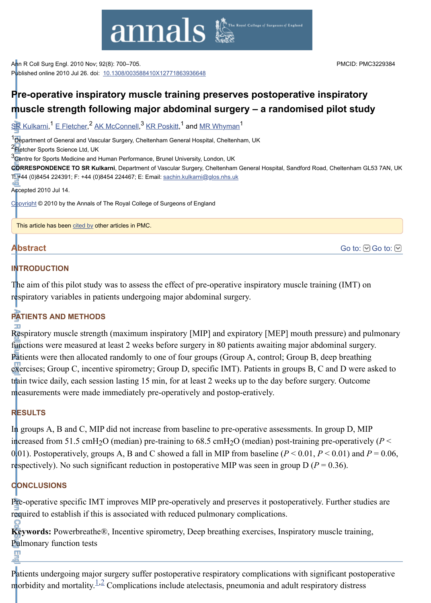

Ann R Coll Surg Engl. 2010 Nov; 92(8): 700–705. Published online 2010 Jul 26. doi: [10.1308/003588410X12771863936648](http://dx.doi.org/10.1308%2F003588410X12771863936648)

[Go to:](http://www.ncbi.nlm.nih.gov/pmc/articles/PMC3229384/#) **⊙** Go to: **⊙** 

# **Pre-operative inspiratory muscle training preserves postoperative inspiratory muscle strength following major abdominal surgery – a randomised pilot study**

 $\overline{\text{SR}}$  Kulkarni,<sup>1</sup> [E Fletcher](http://www.ncbi.nlm.nih.gov/pubmed/?term=Fletcher%20E%5Bauth%5D),<sup>2</sup> [AK McConnell](http://www.ncbi.nlm.nih.gov/pubmed/?term=McConnell%20A%5Bauth%5D),<sup>3</sup> [KR Poskitt](http://www.ncbi.nlm.nih.gov/pubmed/?term=Poskitt%20K%5Bauth%5D),<sup>1</sup> and <u>MR Whyman</u><sup>1</sup>

<sup>1</sup> Department of General and Vascular Surgery, Cheltenham General Hospital, Cheltenham, UK

2<sup>2</sup> Fletcher Sports Science Ltd, UK

 $3\overline{\text{C}}$ entre for Sports Medicine and Human Performance, Brunel University, London, UK

**CORRESPONDENCE TO SR Kulkarni**, Department of Vascular Surgery, Cheltenham General Hospital, Sandford Road, Cheltenham GL53 7AN, UK T: +44 (0)8454 224391; F: +44 (0)8454 224467; E: Email: [sachin.kulkarni@glos.nhs.uk](mailto:dev@null)

Accepted 2010 Jul 14.

[Copyright](http://www.ncbi.nlm.nih.gov/pmc/about/copyright.html) © 2010 by the Annals of The Royal College of Surgeons of England

This article has been [cited by](http://www.ncbi.nlm.nih.gov/pmc/articles/PMC3229384/citedby/) other articles in PMC.

# **Abstract**

#### **INTRODUCTION**

The aim of this pilot study was to assess the effect of pre-operative inspiratory muscle training (IMT) on respiratory variables in patients undergoing major abdominal surgery.

# **PATIENTS AND METHODS**

Respiratory muscle strength (maximum inspiratory [MIP] and expiratory [MEP] mouth pressure) and pulmonary functions were measured at least 2 weeks before surgery in 80 patients awaiting major abdominal surgery. Patients were then allocated randomly to one of four groups (Group A, control; Group B, deep breathing exercises; Group C, incentive spirometry; Group D, specific IMT). Patients in groups B, C and D were asked to train twice daily, each session lasting 15 min, for at least 2 weeks up to the day before surgery. Outcome measurements were made immediately pre-operatively and postop-eratively.

# **RESULTS**

In groups A, B and C, MIP did not increase from baseline to pre-operative assessments. In group D, MIP increased from 51.5 cmH<sub>2</sub>O (median) pre-training to 68.5 cmH<sub>2</sub>O (median) post-training pre-operatively ( $P$  < 0.01). Postoperatively, groups A, B and C showed a fall in MIP from baseline  $(P < 0.01, P < 0.01)$  and  $P = 0.06$ , respectively). No such significant reduction in postoperative MIP was seen in group  $D (P = 0.36)$ .

# **CONCLUSIONS**

Pre-operative specific IMT improves MIP pre-operatively and preserves it postoperatively. Further studies are required to establish if this is associated with reduced pulmonary complications.

**Keywords:** Powerbreathe®, Incentive spirometry, Deep breathing exercises, Inspiratory muscle training, Pulmonary function tests

Patients undergoing major surgery suffer postoperative respiratory complications with significant postoperative morbidity and mortality.<sup>[1](http://www.ncbi.nlm.nih.gov/pmc/articles/PMC3229384/#b1)[,2](http://www.ncbi.nlm.nih.gov/pmc/articles/PMC3229384/#b2)</sup> Complications include atelectasis, pneumonia and adult respiratory distress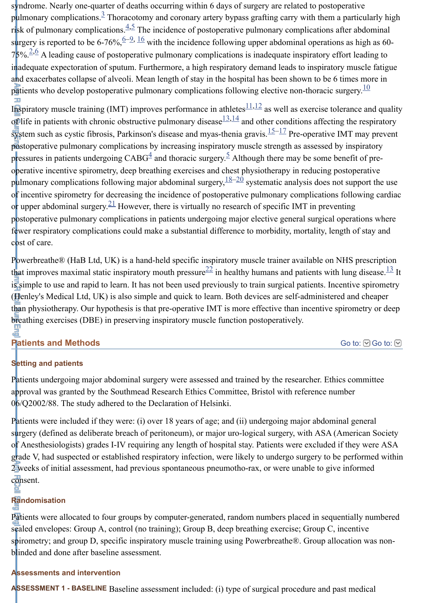syndrome. Nearly one-quarter of deaths occurring within 6 days of surgery are related to postoperative pulmonary complications.<sup>[3](http://www.ncbi.nlm.nih.gov/pmc/articles/PMC3229384/#b3)</sup> Thoracotomy and coronary artery bypass grafting carry with them a particularly high risk of pulmonary complications.  $4.5$  $4.5$  The incidence of postoperative pulmonary complications after abdominal surgery is reported to be [6](http://www.ncbi.nlm.nih.gov/pmc/articles/PMC3229384/#b6)-76%,  $\frac{6-9}{16}$  with the incidence following upper abdominal operations as high as 60- $75\%$ .  $2.6$  $2.6$  A leading cause of postoperative pulmonary complications is inadequate inspiratory effort leading to inadequate expectoration of sputum. Furthermore, a high respiratory demand leads to inspiratory muscle fatigue and exacerbates collapse of alveoli. Mean length of stay in the hospital has been shown to be 6 times more in patients who develop postoperative pulmonary complications following elective non-thoracic surgery.<sup>[10](http://www.ncbi.nlm.nih.gov/pmc/articles/PMC3229384/#b10)</sup>

Inspiratory muscle training (IMT) improves performance in athletes $\frac{11,12}{1}$  $\frac{11,12}{1}$  $\frac{11,12}{1}$  $\frac{11,12}{1}$  as well as exercise tolerance and quality of life in patients with chronic obstructive pulmonary disease  $\frac{13,14}{4}$  $\frac{13,14}{4}$  $\frac{13,14}{4}$  $\frac{13,14}{4}$  and other conditions affecting the respiratory system such as cystic fibrosis, Parkinson's disease and myas-thenia gravis. $\frac{15-17}{15}$  $\frac{15-17}{15}$  $\frac{15-17}{15}$  Pre-operative IMT may prevent postoperative pulmonary complications by increasing inspiratory muscle strength as assessed by inspiratory pressures in patients undergoing  $CABG<sup>4</sup>$  $CABG<sup>4</sup>$  $CABG<sup>4</sup>$  and thoracic surgery.<sup>[5](http://www.ncbi.nlm.nih.gov/pmc/articles/PMC3229384/#b5)</sup> Although there may be some benefit of preoperative incentive spirometry, deep breathing exercises and chest physiotherapy in reducing postoperative pulmonary complications following major abdominal surgery,  $\frac{18-20}{2}$  $\frac{18-20}{2}$  $\frac{18-20}{2}$  systematic analysis does not support the use of incentive spirometry for decreasing the incidence of postoperative pulmonary complications following cardiac or upper abdominal surgery.  $\frac{21}{2}$  $\frac{21}{2}$  $\frac{21}{2}$  However, there is virtually no research of specific IMT in preventing postoperative pulmonary complications in patients undergoing major elective general surgical operations where fewer respiratory complications could make a substantial difference to morbidity, mortality, length of stay and cost of care.

Powerbreathe® (HaB Ltd, UK) is a hand-held specific inspiratory muscle trainer available on NHS prescription that improves maximal static inspiratory mouth pressure  $22$  in healthy humans and patients with lung disease.  $13$  It is simple to use and rapid to learn. It has not been used previously to train surgical patients. Incentive spirometry (Henley's Medical Ltd, UK) is also simple and quick to learn. Both devices are self-administered and cheaper than physiotherapy. Our hypothesis is that pre-operative IMT is more effective than incentive spirometry or deep breathing exercises (DBE) in preserving inspiratory muscle function postoperatively.

#### **Patients and Methods**

[Go to:](http://www.ncbi.nlm.nih.gov/pmc/articles/PMC3229384/#) **v** Go to: **v** 

# **Setting and patients**

Patients undergoing major abdominal surgery were assessed and trained by the researcher. Ethics committee approval was granted by the Southmead Research Ethics Committee, Bristol with reference number 06/Q2002/88. The study adhered to the Declaration of Helsinki.

Patients were included if they were: (i) over 18 years of age; and (ii) undergoing major abdominal general surgery (defined as deliberate breach of peritoneum), or major uro-logical surgery, with ASA (American Society of Anesthesiologists) grades I-IV requiring any length of hospital stay. Patients were excluded if they were ASA grade V, had suspected or established respiratory infection, were likely to undergo surgery to be performed within 2 weeks of initial assessment, had previous spontaneous pneumotho-rax, or were unable to give informed consent. ě

# **Randomisation**

Patients were allocated to four groups by computer-generated, random numbers placed in sequentially numbered sealed envelopes: Group A, control (no training); Group B, deep breathing exercise; Group C, incentive spirometry; and group D, specific inspiratory muscle training using Powerbreathe®. Group allocation was nonblinded and done after baseline assessment.

# **Assessments and intervention**

**ASSESSMENT 1 - BASELINE** Baseline assessment included: (i) type of surgical procedure and past medical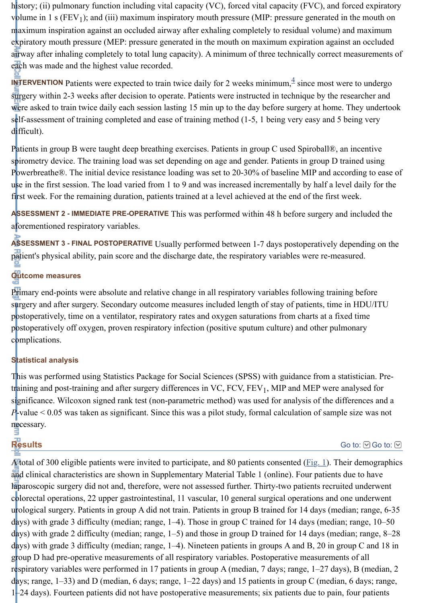history; (ii) pulmonary function including vital capacity (VC), forced vital capacity (FVC), and forced expiratory volume in 1 s (FEV<sub>1</sub>); and (iii) maximum inspiratory mouth pressure (MIP: pressure generated in the mouth on maximum inspiration against an occluded airway after exhaling completely to residual volume) and maximum expiratory mouth pressure (MEP: pressure generated in the mouth on maximum expiration against an occluded airway after inhaling completely to total lung capacity). A minimum of three technically correct measurements of each was made and the highest value recorded.

**INTERVENTION** Patients were expected to train twice daily for 2 weeks minimum,  $\frac{4}{3}$  $\frac{4}{3}$  $\frac{4}{3}$  since most were to undergo surgery within 2-3 weeks after decision to operate. Patients were instructed in technique by the researcher and were asked to train twice daily each session lasting 15 min up to the day before surgery at home. They undertook self-assessment of training completed and ease of training method (1-5, 1 being very easy and 5 being very difficult).

Patients in group B were taught deep breathing exercises. Patients in group C used Spiroball®, an incentive spirometry device. The training load was set depending on age and gender. Patients in group D trained using Powerbreathe®. The initial device resistance loading was set to 20-30% of baseline MIP and according to ease of use in the first session. The load varied from 1 to 9 and was increased incrementally by half a level daily for the first week. For the remaining duration, patients trained at a level achieved at the end of the first week.

**ASSESSMENT 2 - IMMEDIATE PRE-OPERATIVE** This was performed within 48 h before surgery and included the aforementioned respiratory variables.

**ASSESSMENT 3 - FINAL POSTOPERATIVE** Usually performed between 1-7 days postoperatively depending on the patient's physical ability, pain score and the discharge date, the respiratory variables were re-measured.

# **Outcome measures**

Primary end-points were absolute and relative change in all respiratory variables following training before surgery and after surgery. Secondary outcome measures included length of stay of patients, time in HDU/ITU postoperatively, time on a ventilator, respiratory rates and oxygen saturations from charts at a fixed time postoperatively off oxygen, proven respiratory infection (positive sputum culture) and other pulmonary complications.

# **Statistical analysis**

This was performed using Statistics Package for Social Sciences (SPSS) with guidance from a statistician. Pretr<mark>aining and post-training and after surgery differences in VC, FCV, FEV<sub>1</sub>, MIP and MEP were analysed for</mark> significance. Wilcoxon signed rank test (non-parametric method) was used for analysis of the differences and a *P*-value < 0.05 was taken as significant. Since this was a pilot study, formal calculation of sample size was not necessary.

# **Results**

[Go to:](http://www.ncbi.nlm.nih.gov/pmc/articles/PMC3229384/#)  $\odot$  Go to:  $\odot$ 

A total of 300 eligible patients were invited to participate, and 80 patients consented  $(Fig_1)$ . Their demographics and clinical characteristics are shown in Supplementary Material Table 1 (online). Four patients due to have laparoscopic surgery did not and, therefore, were not assessed further. Thirty-two patients recruited underwent colorectal operations, 22 upper gastrointestinal, 11 vascular, 10 general surgical operations and one underwent urological surgery. Patients in group A did not train. Patients in group B trained for 14 days (median; range, 6-35 days) with grade 3 difficulty (median; range, 1–4). Those in group C trained for 14 days (median; range, 10–50 days) with grade 2 difficulty (median; range, 1–5) and those in group D trained for 14 days (median; range, 8–28 days) with grade 3 difficulty (median; range, 1–4). Nineteen patients in groups A and B, 20 in group C and 18 in group D had pre-operative measurements of all respiratory variables. Postoperative measurements of all respiratory variables were performed in 17 patients in group A (median, 7 days; range, 1–27 days), B (median, 2 days; range, 1–33) and D (median, 6 days; range, 1–22 days) and 15 patients in group C (median, 6 days; range, 1–24 days). Fourteen patients did not have postoperative measurements; six patients due to pain, four patients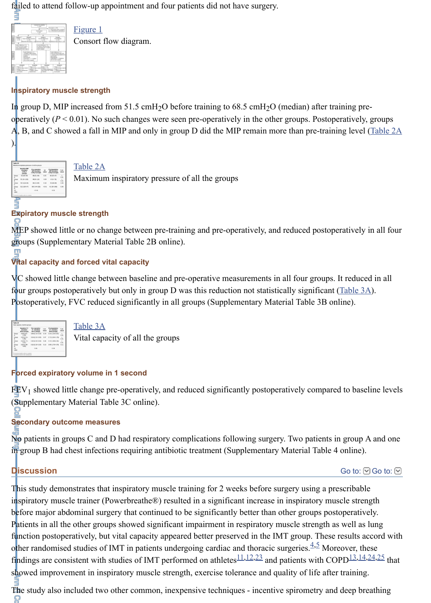failed to attend follow-up appointment and four patients did not have surgery.



[Figure 1](http://www.ncbi.nlm.nih.gov/pmc/articles/PMC3229384/figure/fig1/) Consort flow diagram.

#### **Inspiratory muscle strength**

In group D, MIP increased from 51.5 cmH<sub>2</sub>O before training to 68.5 cmH<sub>2</sub>O (median) after training preoperatively ( $P < 0.01$ ). No such changes were seen pre-operatively in the other groups. Postoperatively, groups A, B, and C showed a fall in MIP and only in group D did the MIP remain more than pre-training level ([Table 2A](http://www.ncbi.nlm.nih.gov/pmc/articles/PMC3229384/table/tbl1/)



).

#### [Table 2A](http://www.ncbi.nlm.nih.gov/pmc/articles/PMC3229384/table/tbl1/)

Maximum inspiratory pressure of all the groups

#### **Expiratory muscle strength**

MEP showed little or no change between pre-training and pre-operatively, and reduced postoperatively in all four groups (Supplementary Material Table 2B online).

#### **Vital capacity and forced vital capacity**

VC showed little change between baseline and pre-operative measurements in all four groups. It reduced in all four groups postoperatively but only in group D was this reduction not statistically significant [\(Table 3A](http://www.ncbi.nlm.nih.gov/pmc/articles/PMC3229384/table/tbl2/)). Postoperatively, FVC reduced significantly in all groups (Supplementary Material Table 3B online).



[Table 3A](http://www.ncbi.nlm.nih.gov/pmc/articles/PMC3229384/table/tbl2/)

Vital capacity of all the groups

#### **Forced expiratory volume in 1 second**

 $FEV<sub>1</sub>$  showed little change pre-operatively, and reduced significantly postoperatively compared to baseline levels (Supplementary Material Table 3C online).

#### **Secondary outcome measures**

No patients in groups C and D had respiratory complications following surgery. Two patients in group A and one in group B had chest infections requiring antibiotic treatment (Supplementary Material Table 4 online).

# **Discussion**

[Go to:](http://www.ncbi.nlm.nih.gov/pmc/articles/PMC3229384/#)  $\odot$  Go to:  $\odot$ 

This study demonstrates that inspiratory muscle training for 2 weeks before surgery using a prescribable inspiratory muscle trainer (Powerbreathe®) resulted in a significant increase in inspiratory muscle strength before major abdominal surgery that continued to be significantly better than other groups postoperatively. Patients in all the other groups showed significant impairment in respiratory muscle strength as well as lung function postoperatively, but vital capacity appeared better preserved in the IMT group. These results accord with other randomised studies of IMT in patients undergoing cardiac and thoracic surgeries. $4.5$  $4.5$  Moreover, these findings are consistent with studies of IMT performed on athletes  $\frac{11,12,23}{1}$  $\frac{11,12,23}{1}$  $\frac{11,12,23}{1}$  $\frac{11,12,23}{1}$  $\frac{11,12,23}{1}$  and patients with COPD  $\frac{13,14,24,25}{1}$  $\frac{13,14,24,25}{1}$  $\frac{13,14,24,25}{1}$  $\frac{13,14,24,25}{1}$  $\frac{13,14,24,25}{1}$  $\frac{13,14,24,25}{1}$  that showed improvement in inspiratory muscle strength, exercise tolerance and quality of life after training.

The study also included two other common, inexpensive techniques - incentive spirometry and deep breathing O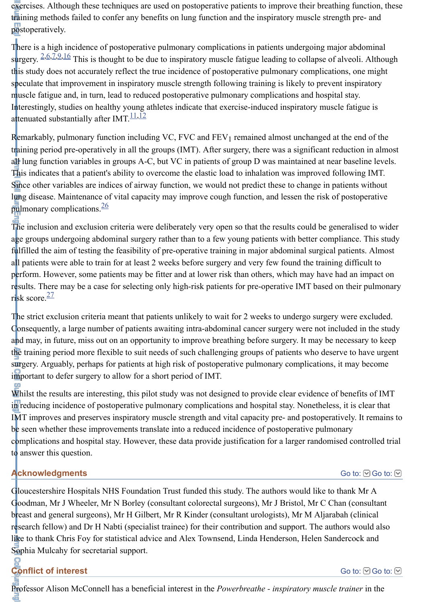exercises. Although these techniques are used on postoperative patients to improve their breathing function, these training methods failed to confer any benefits on lung function and the inspiratory muscle strength pre- and postoperatively.

There is a high incidence of postoperative pulmonary complications in patients undergoing major abdominal surgery. <sup>[2](http://www.ncbi.nlm.nih.gov/pmc/articles/PMC3229384/#b2)[,6](http://www.ncbi.nlm.nih.gov/pmc/articles/PMC3229384/#b6)[,7](http://www.ncbi.nlm.nih.gov/pmc/articles/PMC3229384/#b7)[,9](http://www.ncbi.nlm.nih.gov/pmc/articles/PMC3229384/#b9)[,16](http://www.ncbi.nlm.nih.gov/pmc/articles/PMC3229384/#b16)</sup> This is thought to be due to inspiratory muscle fatigue leading to collapse of alveoli. Although this study does not accurately reflect the true incidence of postoperative pulmonary complications, one might speculate that improvement in inspiratory muscle strength following training is likely to prevent inspiratory muscle fatigue and, in turn, lead to reduced postoperative pulmonary complications and hospital stay. Interestingly, studies on healthy young athletes indicate that exercise-induced inspiratory muscle fatigue is attenuated substantially after IMT.<sup>[11](http://www.ncbi.nlm.nih.gov/pmc/articles/PMC3229384/#b11)[,12](http://www.ncbi.nlm.nih.gov/pmc/articles/PMC3229384/#b12)</sup>

Remarkably, pulmonary function including VC, FVC and  $FEV<sub>1</sub>$  remained almost unchanged at the end of the training period pre-operatively in all the groups (IMT). After surgery, there was a significant reduction in almost all lung function variables in groups A-C, but VC in patients of group D was maintained at near baseline levels. This indicates that a patient's ability to overcome the elastic load to inhalation was improved following IMT. Since other variables are indices of airway function, we would not predict these to change in patients without lung disease. Maintenance of vital capacity may improve cough function, and lessen the risk of postoperative pulmonary complications.<sup>[26](http://www.ncbi.nlm.nih.gov/pmc/articles/PMC3229384/#b26)</sup>

The inclusion and exclusion criteria were deliberately very open so that the results could be generalised to wider age groups undergoing abdominal surgery rather than to a few young patients with better compliance. This study fulfilled the aim of testing the feasibility of pre-operative training in major abdominal surgical patients. Almost all patients were able to train for at least 2 weeks before surgery and very few found the training difficult to perform. However, some patients may be fitter and at lower risk than others, which may have had an impact on results. There may be a case for selecting only high-risk patients for pre-operative IMT based on their pulmonary risk score.<sup>[27](http://www.ncbi.nlm.nih.gov/pmc/articles/PMC3229384/#b27)</sup>

The strict exclusion criteria meant that patients unlikely to wait for 2 weeks to undergo surgery were excluded. Consequently, a large number of patients awaiting intra-abdominal cancer surgery were not included in the study and may, in future, miss out on an opportunity to improve breathing before surgery. It may be necessary to keep the training period more flexible to suit needs of such challenging groups of patients who deserve to have urgent surgery. Arguably, perhaps for patients at high risk of postoperative pulmonary complications, it may become important to defer surgery to allow for a short period of IMT.

Whilst the results are interesting, this pilot study was not designed to provide clear evidence of benefits of IMT in reducing incidence of postoperative pulmonary complications and hospital stay. Nonetheless, it is clear that IMT improves and preserves inspiratory muscle strength and vital capacity pre- and postoperatively. It remains to be seen whether these improvements translate into a reduced incidence of postoperative pulmonary complications and hospital stay. However, these data provide justification for a larger randomised controlled trial to answer this question.

# **Acknowledgments**

[Go to:](http://www.ncbi.nlm.nih.gov/pmc/articles/PMC3229384/#)  $\odot$  Go to:  $\odot$ 

Gloucestershire Hospitals NHS Foundation Trust funded this study. The authors would like to thank Mr A Goodman, Mr J Wheeler, Mr N Borley (consultant colorectal surgeons), Mr J Bristol, Mr C Chan (consultant breast and general surgeons), Mr H Gilbert, Mr R Kinder (consultant urologists), Mr M Aljarabah (clinical research fellow) and Dr H Nabti (specialist trainee) for their contribution and support. The authors would also like to thank Chris Foy for statistical advice and Alex Townsend, Linda Henderson, Helen Sandercock and Sophia Mulcahy for secretarial support.

**Conflict of interest**

[Go to:](http://www.ncbi.nlm.nih.gov/pmc/articles/PMC3229384/#)  $\odot$  Go to:  $\odot$ 

Professor Alison McConnell has a beneficial interest in the *Powerbreathe - inspiratory muscle trainer* in the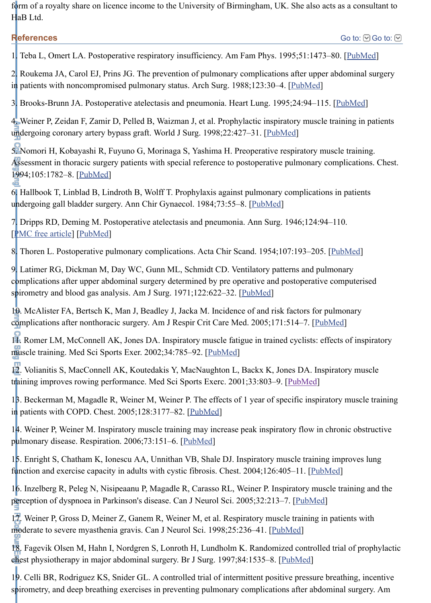form of a royalty share on licence income to the University of Birmingham, UK. She also acts as a consultant to HaB Ltd.

# **References**

1. Teba L, Omert LA. Postoperative respiratory insufficiency. Am Fam Phys. 1995;51:1473–80. [\[PubMed](http://www.ncbi.nlm.nih.gov/pubmed/7732949)]

2. Roukema JA, Carol EJ, Prins JG. The prevention of pulmonary complications after upper abdominal surgery in patients with noncompromised pulmonary status. Arch Surg. 1988;123:30–4. [\[PubMed](http://www.ncbi.nlm.nih.gov/pubmed/3337652)]

3. Brooks-Brunn JA. Postoperative atelectasis and pneumonia. Heart Lung. 1995;24:94–115. [\[PubMed](http://www.ncbi.nlm.nih.gov/pubmed/7759282)]

4. Weiner P, Zeidan F, Zamir D, Pelled B, Waizman J, et al. Prophylactic inspiratory muscle training in patients undergoing coronary artery bypass graft. World J Surg. 1998;22:427–31. [\[PubMed](http://www.ncbi.nlm.nih.gov/pubmed/9564282)]

5. Nomori H, Kobayashi R, Fuyuno G, Morinaga S, Yashima H. Preoperative respiratory muscle training. Assessment in thoracic surgery patients with special reference to postoperative pulmonary complications. Chest. 1994;105:1782–8. [\[PubMed](http://www.ncbi.nlm.nih.gov/pubmed/8205877)]

6. Hallbook T, Linblad B, Lindroth B, Wolff T. Prophylaxis against pulmonary complications in patients undergoing gall bladder surgery. Ann Chir Gynaecol. 1984;73:55-8. [\[PubMed](http://www.ncbi.nlm.nih.gov/pubmed/6465819)]

7. Dripps RD, Deming M. Postoperative atelectasis and pneumonia. Ann Surg. 1946;124:94–110. [\[PMC free article](http://www.ncbi.nlm.nih.gov/pmc/articles/PMC1803600/)] [\[PubMed](http://www.ncbi.nlm.nih.gov/pubmed/17858819)]

8. Thoren L. Postoperative pulmonary complications. Acta Chir Scand. 1954;107:193-205. [\[PubMed](http://www.ncbi.nlm.nih.gov/pubmed/13188561)]

9. Latimer RG, Dickman M, Day WC, Gunn ML, Schmidt CD. Ventilatory patterns and pulmonary complications after upper abdominal surgery determined by pre operative and postoperative computerised spirometry and blood gas analysis. Am J Surg. 1971;122:622–32. [\[PubMed](http://www.ncbi.nlm.nih.gov/pubmed/4939329)]

10. McAlister FA, Bertsch K, Man J, Beadley J, Jacka M. Incidence of and risk factors for pulmonary complications after nonthoracic surgery. Am J Respir Crit Care Med. 2005;171:514–7. [\[PubMed\]](http://www.ncbi.nlm.nih.gov/pubmed/15563632)

11. Romer LM, McConnell AK, Jones DA. Inspiratory muscle fatigue in trained cyclists: effects of inspiratory muscle training. Med Sci Sports Exer. 2002;34:785–92. [\[PubMed](http://www.ncbi.nlm.nih.gov/pubmed/11984296)]

12. Volianitis S, MacConnell AK, Koutedakis Y, MacNaughton L, Backx K, Jones DA. Inspiratory muscle training improves rowing performance. Med Sci Sports Exerc. 2001;33:803–9. [\[PubMed](http://www.ncbi.nlm.nih.gov/pubmed/11323552)]

13. Beckerman M, Magadle R, Weiner M, Weiner P. The effects of 1 year of specific inspiratory muscle training in patients with COPD. Chest. 2005;128:3177–82. [\[PubMed](http://www.ncbi.nlm.nih.gov/pubmed/16304259)]

14. Weiner P, Weiner M. Inspiratory muscle training may increase peak inspiratory flow in chronic obstructive pulmonary disease. Respiration. 2006;73:151–6. [\[PubMed](http://www.ncbi.nlm.nih.gov/pubmed/16155355)]

15. Enright S, Chatham K, Ionescu AA, Unnithan VB, Shale DJ. Inspiratory muscle training improves lung function and exercise capacity in adults with cystic fibrosis. Chest. 2004;126:405–11. [\[PubMed](http://www.ncbi.nlm.nih.gov/pubmed/15302725)]

16. Inzelberg R, Peleg N, Nisipeaanu P, Magadle R, Carasso RL, Weiner P. Inspiratory muscle training and the perception of dyspnoea in Parkinson's disease. Can J Neurol Sci. 2005;32:213–7. [\[PubMed](http://www.ncbi.nlm.nih.gov/pubmed/16018157)]

1<sup>7</sup>. Weiner P, Gross D, Meiner Z, Ganem R, Weiner M, et al. Respiratory muscle training in patients with moderate to severe myasthenia gravis. Can J Neurol Sci. 1998;25:236–41. [\[PubMed\]](http://www.ncbi.nlm.nih.gov/pubmed/9706726)

18. Fagevik Olsen M, Hahn I, Nordgren S, Lonroth H, Lundholm K. Randomized controlled trial of prophylactic chest physiotherapy in major abdominal surgery. Br J Surg. 1997;84:1535–8. [\[PubMed\]](http://www.ncbi.nlm.nih.gov/pubmed/9393272)

19. Celli BR, Rodriguez KS, Snider GL. A controlled trial of intermittent positive pressure breathing, incentive spirometry, and deep breathing exercises in preventing pulmonary complications after abdominal surgery. Am